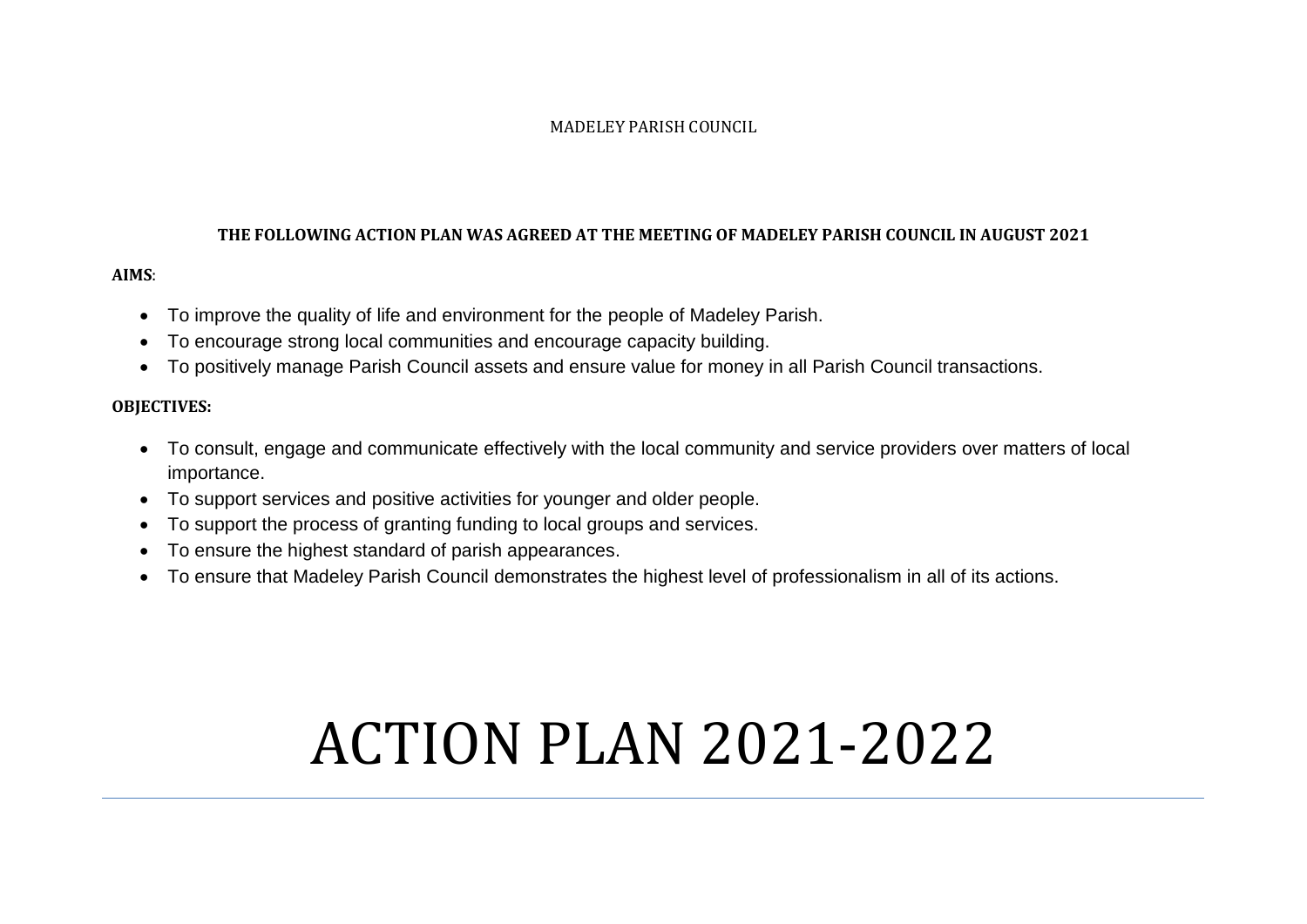#### MADELEY PARISH COUNCIL

#### **THE FOLLOWING ACTION PLAN WAS AGREED AT THE MEETING OF MADELEY PARISH COUNCIL IN AUGUST 2021**

## **AIMS**:

- To improve the quality of life and environment for the people of Madeley Parish.
- To encourage strong local communities and encourage capacity building.
- To positively manage Parish Council assets and ensure value for money in all Parish Council transactions.

## **OBJECTIVES:**

- To consult, engage and communicate effectively with the local community and service providers over matters of local importance.
- To support services and positive activities for younger and older people.
- To support the process of granting funding to local groups and services.
- To ensure the highest standard of parish appearances.
- To ensure that Madeley Parish Council demonstrates the highest level of professionalism in all of its actions.

# ACTION PLAN 2021-2022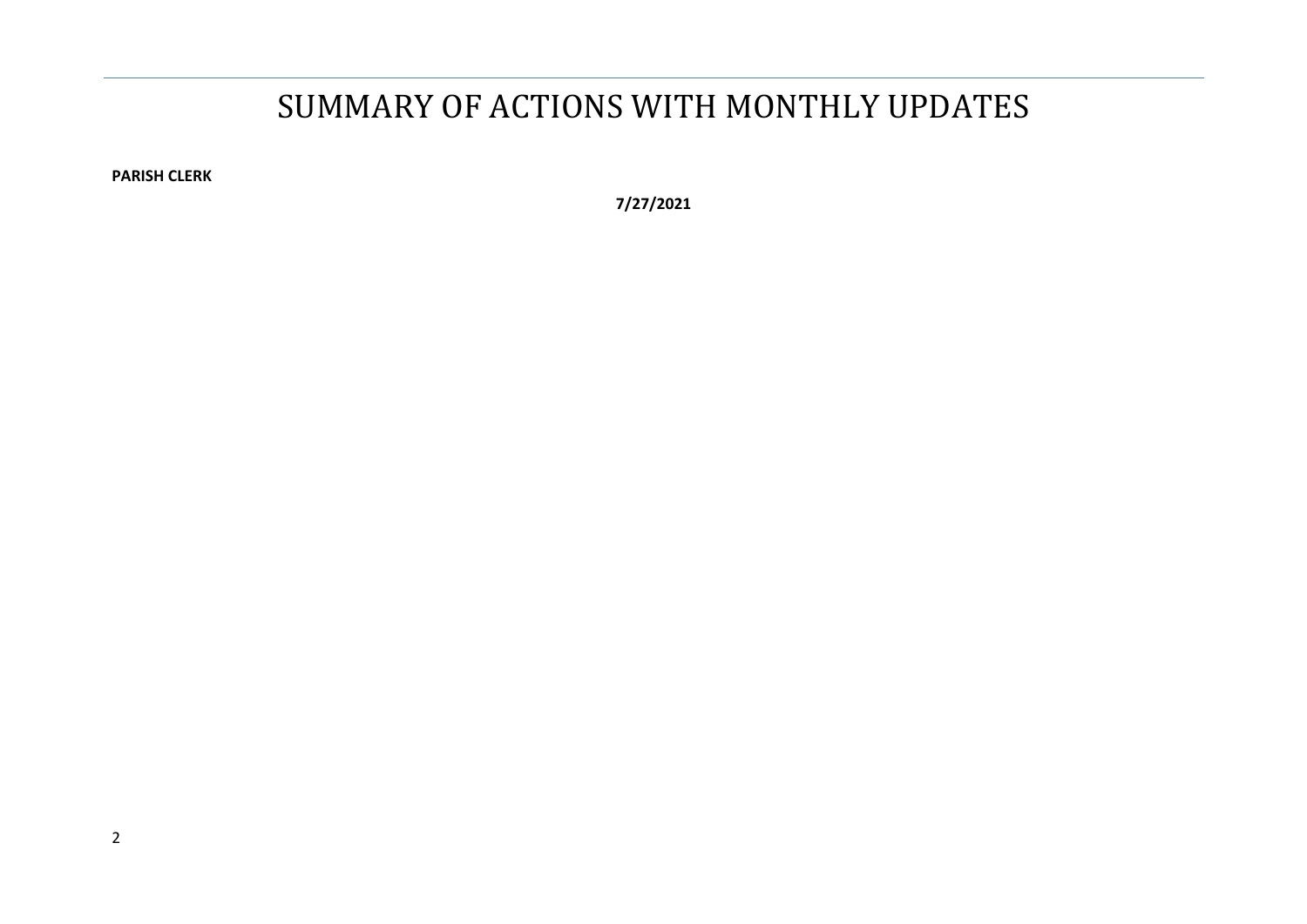# SUMMARY OF ACTIONS WITH MONTHLY UPDATES

**PARISH CLERK**

**7/27/2021**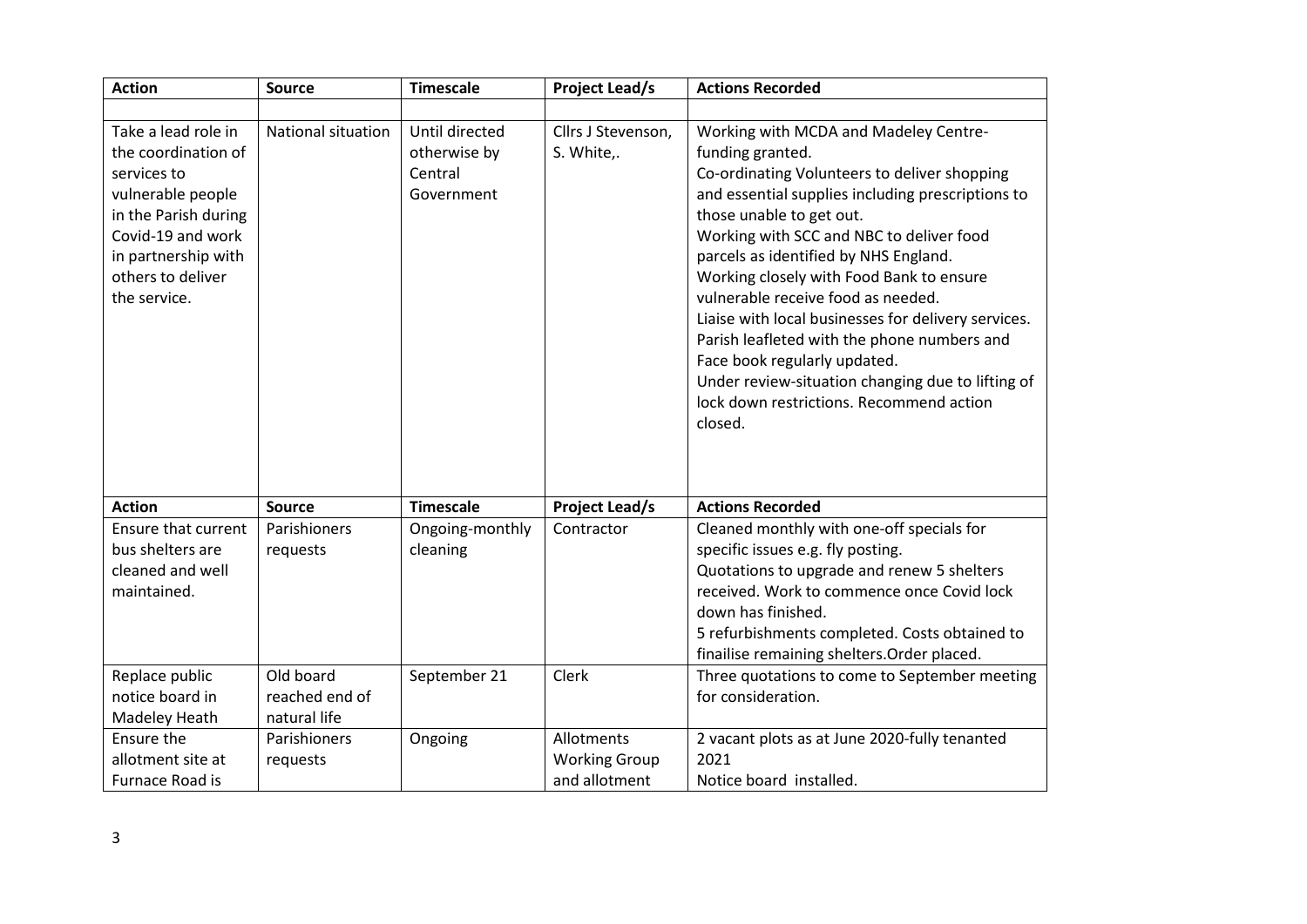| <b>Action</b>                                                                                                                                                                           | <b>Source</b>                               | <b>Timescale</b>                                        | <b>Project Lead/s</b>                               | <b>Actions Recorded</b>                                                                                                                                                                                                                                                                                                                                                                                                                                                                                                                                                                                             |
|-----------------------------------------------------------------------------------------------------------------------------------------------------------------------------------------|---------------------------------------------|---------------------------------------------------------|-----------------------------------------------------|---------------------------------------------------------------------------------------------------------------------------------------------------------------------------------------------------------------------------------------------------------------------------------------------------------------------------------------------------------------------------------------------------------------------------------------------------------------------------------------------------------------------------------------------------------------------------------------------------------------------|
|                                                                                                                                                                                         |                                             |                                                         |                                                     |                                                                                                                                                                                                                                                                                                                                                                                                                                                                                                                                                                                                                     |
| Take a lead role in<br>the coordination of<br>services to<br>vulnerable people<br>in the Parish during<br>Covid-19 and work<br>in partnership with<br>others to deliver<br>the service. | National situation                          | Until directed<br>otherwise by<br>Central<br>Government | Cllrs J Stevenson,<br>S. White,.                    | Working with MCDA and Madeley Centre-<br>funding granted.<br>Co-ordinating Volunteers to deliver shopping<br>and essential supplies including prescriptions to<br>those unable to get out.<br>Working with SCC and NBC to deliver food<br>parcels as identified by NHS England.<br>Working closely with Food Bank to ensure<br>vulnerable receive food as needed.<br>Liaise with local businesses for delivery services.<br>Parish leafleted with the phone numbers and<br>Face book regularly updated.<br>Under review-situation changing due to lifting of<br>lock down restrictions. Recommend action<br>closed. |
| <b>Action</b>                                                                                                                                                                           | <b>Source</b>                               | <b>Timescale</b>                                        | <b>Project Lead/s</b>                               | <b>Actions Recorded</b>                                                                                                                                                                                                                                                                                                                                                                                                                                                                                                                                                                                             |
| <b>Ensure that current</b><br>bus shelters are<br>cleaned and well<br>maintained.                                                                                                       | Parishioners<br>requests                    | Ongoing-monthly<br>cleaning                             | Contractor                                          | Cleaned monthly with one-off specials for<br>specific issues e.g. fly posting.<br>Quotations to upgrade and renew 5 shelters<br>received. Work to commence once Covid lock<br>down has finished.<br>5 refurbishments completed. Costs obtained to<br>finailise remaining shelters. Order placed.                                                                                                                                                                                                                                                                                                                    |
| Replace public<br>notice board in<br>Madeley Heath                                                                                                                                      | Old board<br>reached end of<br>natural life | September 21                                            | Clerk                                               | Three quotations to come to September meeting<br>for consideration.                                                                                                                                                                                                                                                                                                                                                                                                                                                                                                                                                 |
| Ensure the<br>allotment site at<br>Furnace Road is                                                                                                                                      | Parishioners<br>requests                    | Ongoing                                                 | Allotments<br><b>Working Group</b><br>and allotment | 2 vacant plots as at June 2020-fully tenanted<br>2021<br>Notice board installed.                                                                                                                                                                                                                                                                                                                                                                                                                                                                                                                                    |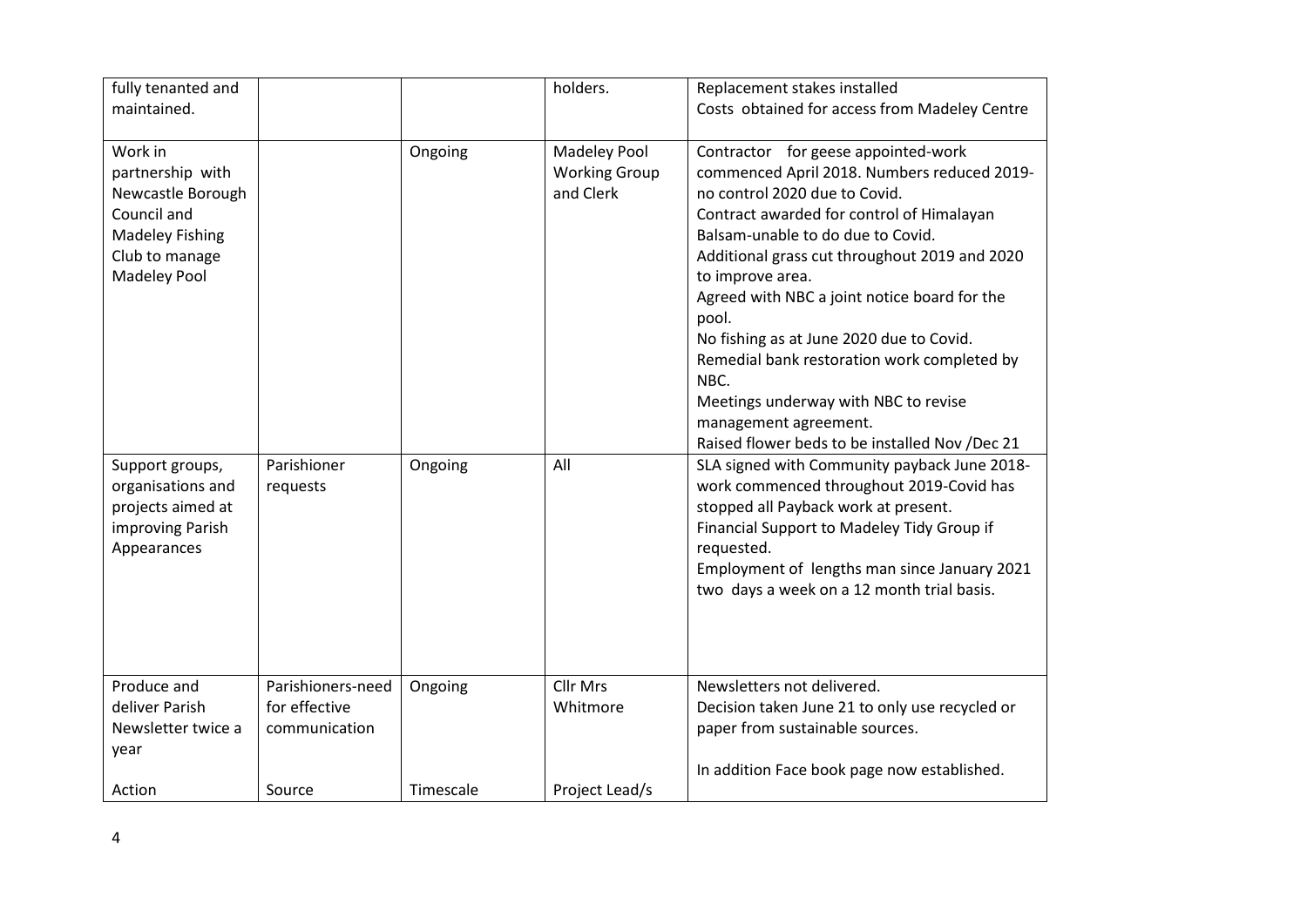| fully tenanted and                                                                                                                 |                                                     |           | holders.                                                 | Replacement stakes installed                                                                                                                                                                                                                                                                                                                                                                                                                                                                                                                              |
|------------------------------------------------------------------------------------------------------------------------------------|-----------------------------------------------------|-----------|----------------------------------------------------------|-----------------------------------------------------------------------------------------------------------------------------------------------------------------------------------------------------------------------------------------------------------------------------------------------------------------------------------------------------------------------------------------------------------------------------------------------------------------------------------------------------------------------------------------------------------|
| maintained.                                                                                                                        |                                                     |           |                                                          | Costs obtained for access from Madeley Centre                                                                                                                                                                                                                                                                                                                                                                                                                                                                                                             |
| Work in<br>partnership with<br>Newcastle Borough<br>Council and<br><b>Madeley Fishing</b><br>Club to manage<br><b>Madeley Pool</b> |                                                     | Ongoing   | <b>Madeley Pool</b><br><b>Working Group</b><br>and Clerk | Contractor for geese appointed-work<br>commenced April 2018. Numbers reduced 2019-<br>no control 2020 due to Covid.<br>Contract awarded for control of Himalayan<br>Balsam-unable to do due to Covid.<br>Additional grass cut throughout 2019 and 2020<br>to improve area.<br>Agreed with NBC a joint notice board for the<br>pool.<br>No fishing as at June 2020 due to Covid.<br>Remedial bank restoration work completed by<br>NBC.<br>Meetings underway with NBC to revise<br>management agreement.<br>Raised flower beds to be installed Nov /Dec 21 |
| Support groups,<br>organisations and<br>projects aimed at<br>improving Parish<br>Appearances                                       | Parishioner<br>requests                             | Ongoing   | All                                                      | SLA signed with Community payback June 2018-<br>work commenced throughout 2019-Covid has<br>stopped all Payback work at present.<br>Financial Support to Madeley Tidy Group if<br>requested.<br>Employment of lengths man since January 2021<br>two days a week on a 12 month trial basis.                                                                                                                                                                                                                                                                |
| Produce and<br>deliver Parish<br>Newsletter twice a<br>year                                                                        | Parishioners-need<br>for effective<br>communication | Ongoing   | <b>Cllr Mrs</b><br>Whitmore                              | Newsletters not delivered.<br>Decision taken June 21 to only use recycled or<br>paper from sustainable sources.<br>In addition Face book page now established.                                                                                                                                                                                                                                                                                                                                                                                            |
| Action                                                                                                                             | Source                                              | Timescale | Project Lead/s                                           |                                                                                                                                                                                                                                                                                                                                                                                                                                                                                                                                                           |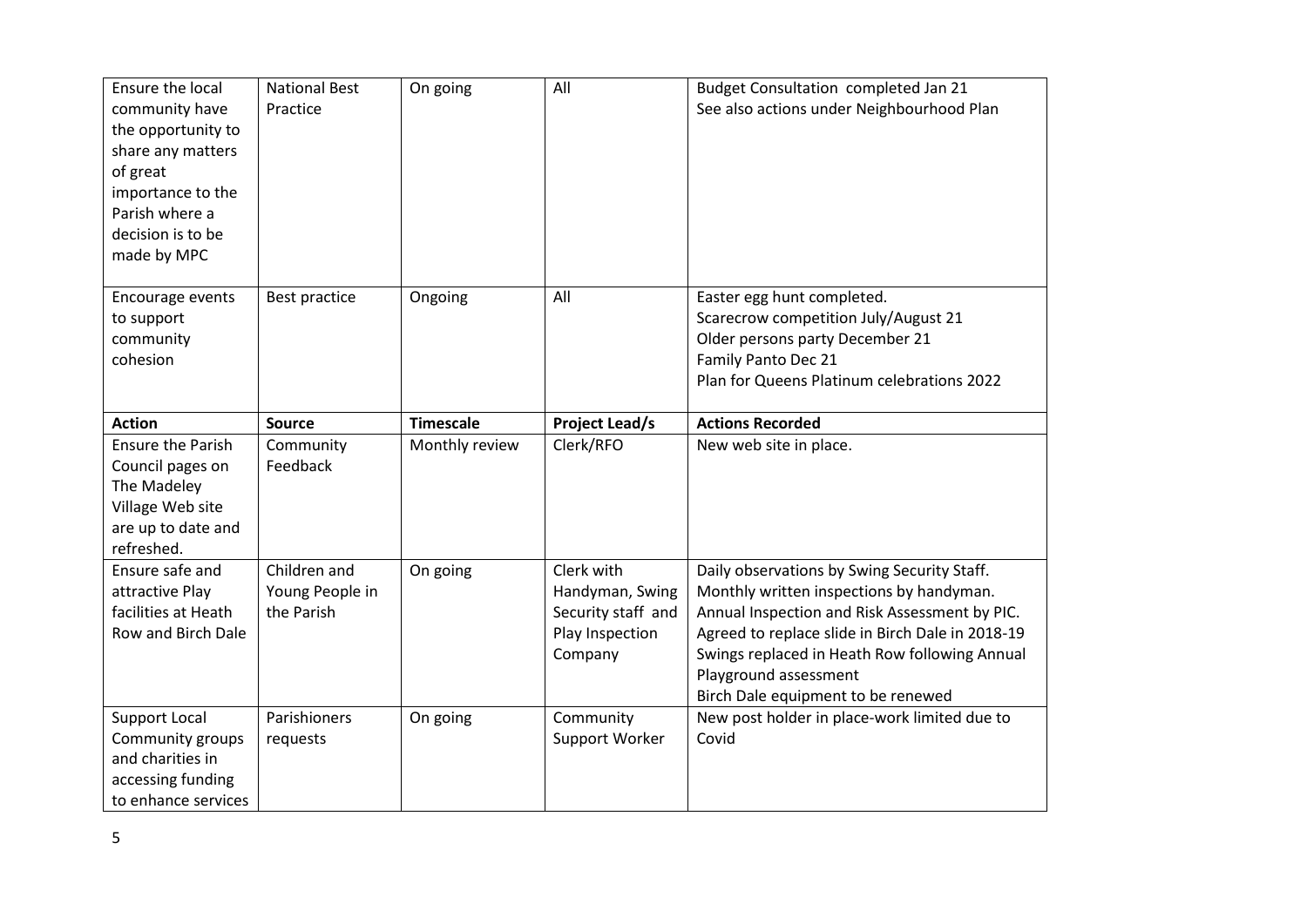| Ensure the local<br>community have<br>the opportunity to<br>share any matters<br>of great<br>importance to the<br>Parish where a<br>decision is to be<br>made by MPC | <b>National Best</b><br>Practice              | On going         | All                                                                               | Budget Consultation completed Jan 21<br>See also actions under Neighbourhood Plan                                                                                                                                                                                                                            |
|----------------------------------------------------------------------------------------------------------------------------------------------------------------------|-----------------------------------------------|------------------|-----------------------------------------------------------------------------------|--------------------------------------------------------------------------------------------------------------------------------------------------------------------------------------------------------------------------------------------------------------------------------------------------------------|
| Encourage events<br>to support<br>community<br>cohesion                                                                                                              | Best practice                                 | Ongoing          | All                                                                               | Easter egg hunt completed.<br>Scarecrow competition July/August 21<br>Older persons party December 21<br>Family Panto Dec 21<br>Plan for Queens Platinum celebrations 2022                                                                                                                                   |
| <b>Action</b>                                                                                                                                                        | <b>Source</b>                                 | <b>Timescale</b> | <b>Project Lead/s</b>                                                             | <b>Actions Recorded</b>                                                                                                                                                                                                                                                                                      |
| <b>Ensure the Parish</b><br>Council pages on<br>The Madeley<br>Village Web site<br>are up to date and<br>refreshed.                                                  | Community<br>Feedback                         | Monthly review   | Clerk/RFO                                                                         | New web site in place.                                                                                                                                                                                                                                                                                       |
| Ensure safe and<br>attractive Play<br>facilities at Heath<br>Row and Birch Dale                                                                                      | Children and<br>Young People in<br>the Parish | On going         | Clerk with<br>Handyman, Swing<br>Security staff and<br>Play Inspection<br>Company | Daily observations by Swing Security Staff.<br>Monthly written inspections by handyman.<br>Annual Inspection and Risk Assessment by PIC.<br>Agreed to replace slide in Birch Dale in 2018-19<br>Swings replaced in Heath Row following Annual<br>Playground assessment<br>Birch Dale equipment to be renewed |
| <b>Support Local</b><br>Community groups<br>and charities in<br>accessing funding<br>to enhance services                                                             | Parishioners<br>requests                      | On going         | Community<br>Support Worker                                                       | New post holder in place-work limited due to<br>Covid                                                                                                                                                                                                                                                        |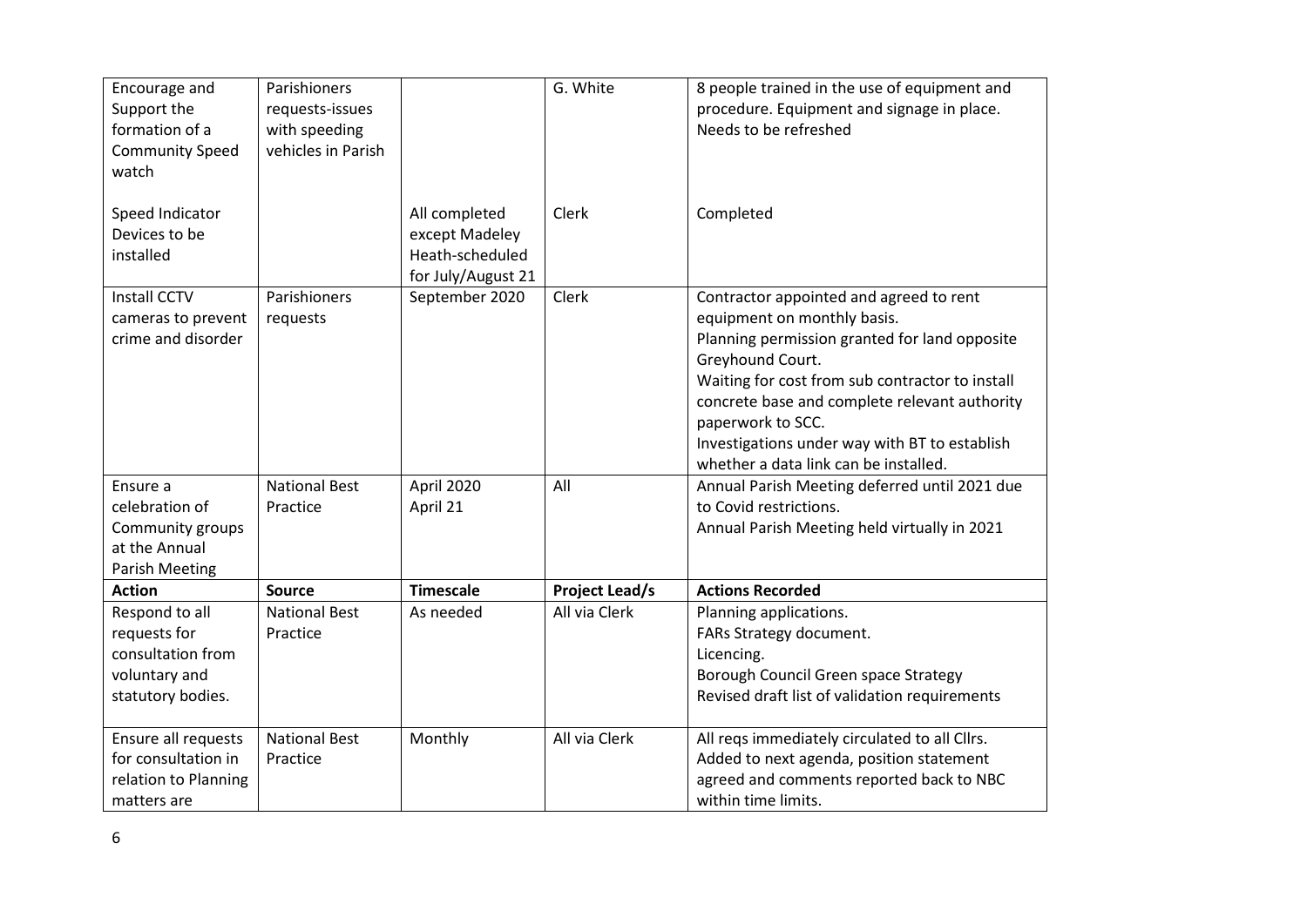| Encourage and<br>Support the<br>formation of a<br><b>Community Speed</b><br>watch         | Parishioners<br>requests-issues<br>with speeding<br>vehicles in Parish |                                                                          | G. White              | 8 people trained in the use of equipment and<br>procedure. Equipment and signage in place.<br>Needs to be refreshed                                                                                                                                                                                                                                            |
|-------------------------------------------------------------------------------------------|------------------------------------------------------------------------|--------------------------------------------------------------------------|-----------------------|----------------------------------------------------------------------------------------------------------------------------------------------------------------------------------------------------------------------------------------------------------------------------------------------------------------------------------------------------------------|
| Speed Indicator<br>Devices to be<br>installed                                             |                                                                        | All completed<br>except Madeley<br>Heath-scheduled<br>for July/August 21 | Clerk                 | Completed                                                                                                                                                                                                                                                                                                                                                      |
| <b>Install CCTV</b><br>cameras to prevent<br>crime and disorder                           | Parishioners<br>requests                                               | September 2020                                                           | Clerk                 | Contractor appointed and agreed to rent<br>equipment on monthly basis.<br>Planning permission granted for land opposite<br>Greyhound Court.<br>Waiting for cost from sub contractor to install<br>concrete base and complete relevant authority<br>paperwork to SCC.<br>Investigations under way with BT to establish<br>whether a data link can be installed. |
| Ensure a<br>celebration of<br>Community groups<br>at the Annual<br>Parish Meeting         | <b>National Best</b><br>Practice                                       | April 2020<br>April 21                                                   | All                   | Annual Parish Meeting deferred until 2021 due<br>to Covid restrictions.<br>Annual Parish Meeting held virtually in 2021                                                                                                                                                                                                                                        |
| <b>Action</b>                                                                             | <b>Source</b>                                                          | <b>Timescale</b>                                                         | <b>Project Lead/s</b> | <b>Actions Recorded</b>                                                                                                                                                                                                                                                                                                                                        |
| Respond to all<br>requests for<br>consultation from<br>voluntary and<br>statutory bodies. | <b>National Best</b><br>Practice                                       | As needed                                                                | All via Clerk         | Planning applications.<br>FARs Strategy document.<br>Licencing.<br>Borough Council Green space Strategy<br>Revised draft list of validation requirements                                                                                                                                                                                                       |
| Ensure all requests<br>for consultation in<br>relation to Planning<br>matters are         | <b>National Best</b><br>Practice                                       | Monthly                                                                  | All via Clerk         | All reqs immediately circulated to all Cllrs.<br>Added to next agenda, position statement<br>agreed and comments reported back to NBC<br>within time limits.                                                                                                                                                                                                   |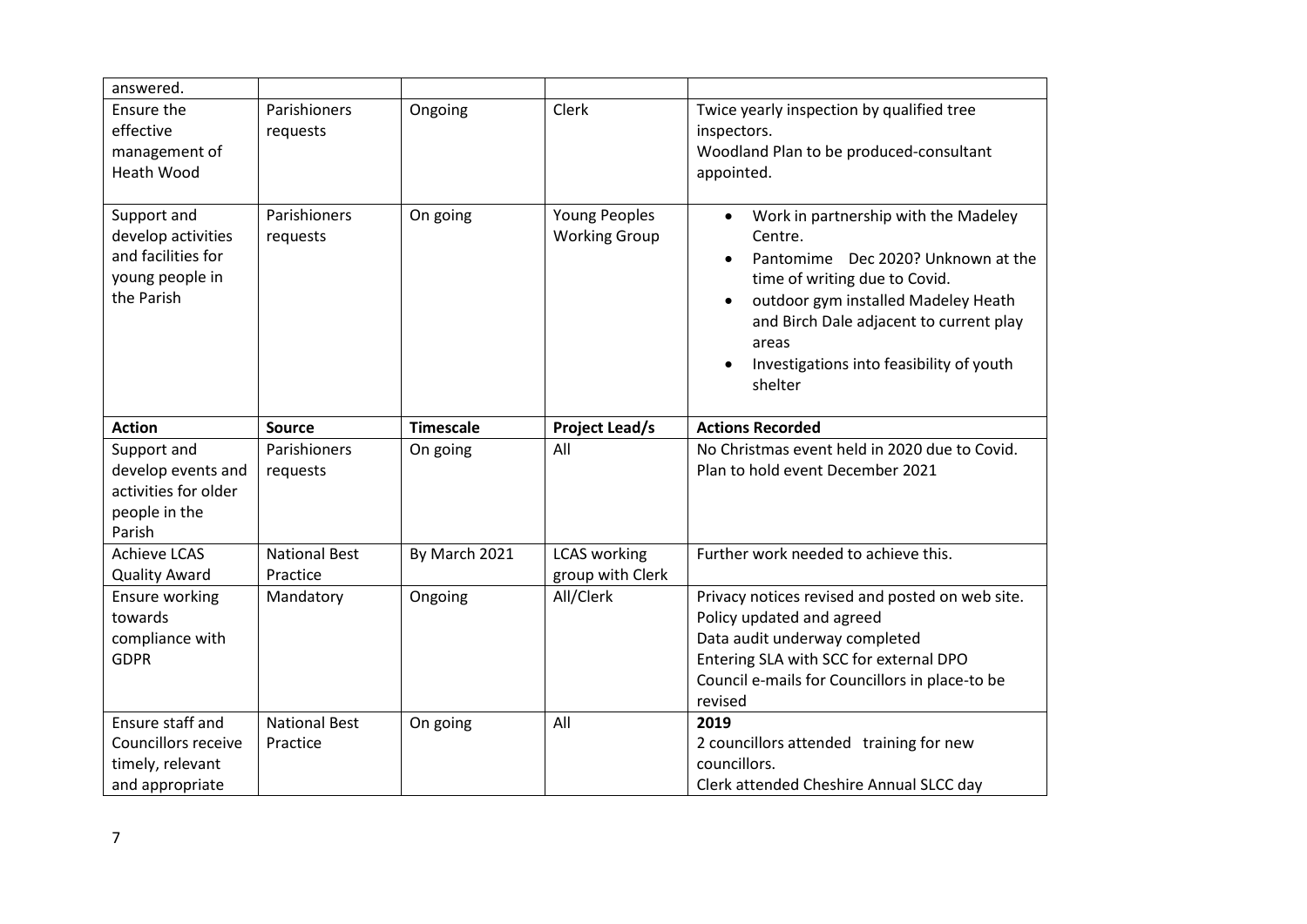| answered.                                                                                |                                  |                  |                                              |                                                                                                                                                                                                                                                                                                    |
|------------------------------------------------------------------------------------------|----------------------------------|------------------|----------------------------------------------|----------------------------------------------------------------------------------------------------------------------------------------------------------------------------------------------------------------------------------------------------------------------------------------------------|
| Ensure the<br>effective<br>management of<br><b>Heath Wood</b>                            | Parishioners<br>requests         | Ongoing          | Clerk                                        | Twice yearly inspection by qualified tree<br>inspectors.<br>Woodland Plan to be produced-consultant<br>appointed.                                                                                                                                                                                  |
| Support and<br>develop activities<br>and facilities for<br>young people in<br>the Parish | Parishioners<br>requests         | On going         | <b>Young Peoples</b><br><b>Working Group</b> | Work in partnership with the Madeley<br>$\bullet$<br>Centre.<br>Pantomime Dec 2020? Unknown at the<br>time of writing due to Covid.<br>outdoor gym installed Madeley Heath<br>$\bullet$<br>and Birch Dale adjacent to current play<br>areas<br>Investigations into feasibility of youth<br>shelter |
| <b>Action</b>                                                                            | <b>Source</b>                    | <b>Timescale</b> | <b>Project Lead/s</b>                        | <b>Actions Recorded</b>                                                                                                                                                                                                                                                                            |
| Support and<br>develop events and<br>activities for older<br>people in the<br>Parish     | Parishioners<br>requests         | On going         | All                                          | No Christmas event held in 2020 due to Covid.<br>Plan to hold event December 2021                                                                                                                                                                                                                  |
| <b>Achieve LCAS</b><br><b>Quality Award</b>                                              | <b>National Best</b><br>Practice | By March 2021    | <b>LCAS</b> working<br>group with Clerk      | Further work needed to achieve this.                                                                                                                                                                                                                                                               |
| Ensure working<br>towards<br>compliance with<br><b>GDPR</b>                              | Mandatory                        | Ongoing          | All/Clerk                                    | Privacy notices revised and posted on web site.<br>Policy updated and agreed<br>Data audit underway completed<br>Entering SLA with SCC for external DPO<br>Council e-mails for Councillors in place-to be<br>revised                                                                               |
| Ensure staff and<br>Councillors receive<br>timely, relevant<br>and appropriate           | <b>National Best</b><br>Practice | On going         | All                                          | 2019<br>2 councillors attended training for new<br>councillors.<br>Clerk attended Cheshire Annual SLCC day                                                                                                                                                                                         |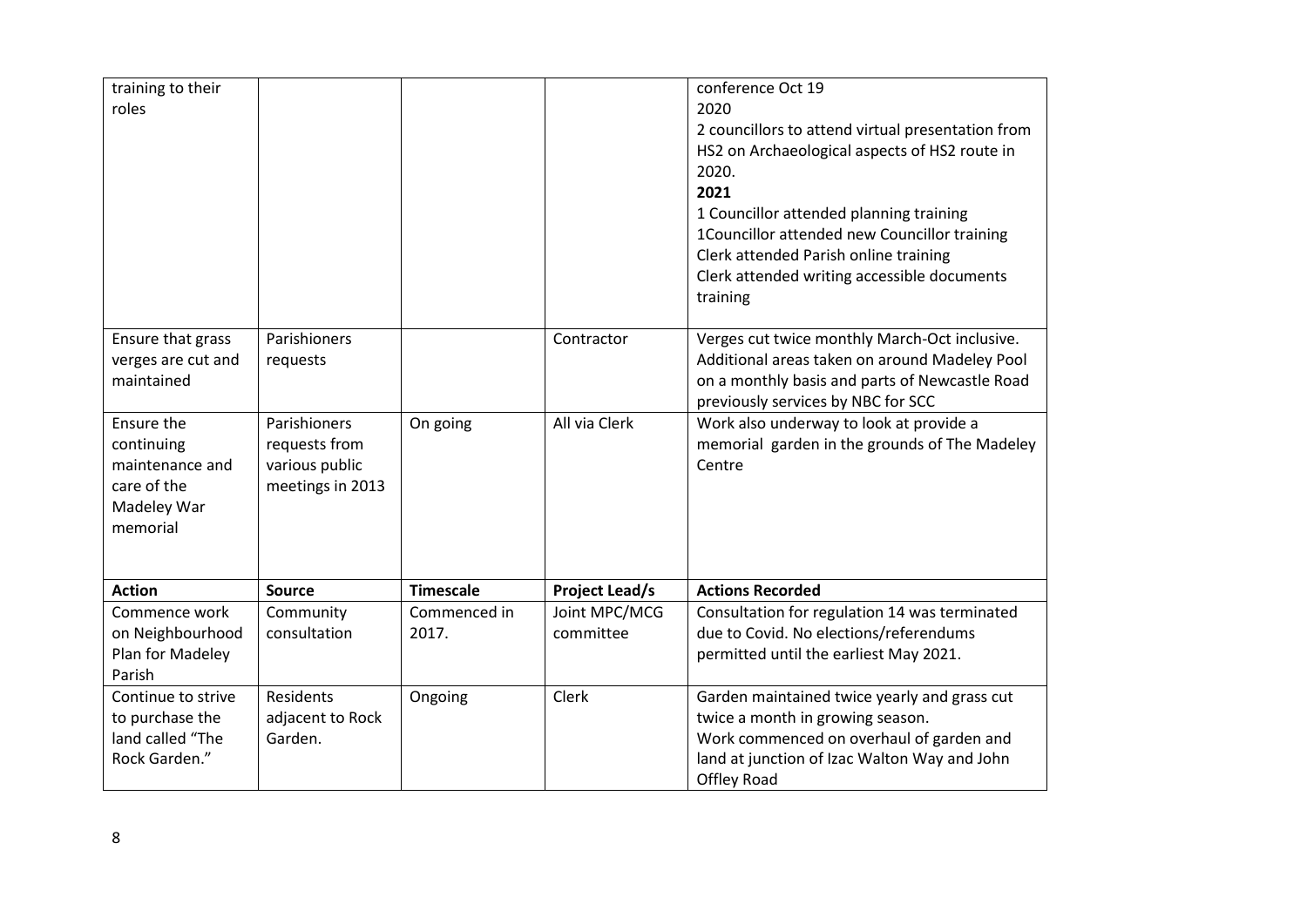| training to their<br>roles                                                            |                                                                     |                       |                            | conference Oct 19<br>2020<br>2 councillors to attend virtual presentation from<br>HS2 on Archaeological aspects of HS2 route in<br>2020.<br>2021<br>1 Councillor attended planning training<br>1Councillor attended new Councillor training<br>Clerk attended Parish online training<br>Clerk attended writing accessible documents<br>training |
|---------------------------------------------------------------------------------------|---------------------------------------------------------------------|-----------------------|----------------------------|-------------------------------------------------------------------------------------------------------------------------------------------------------------------------------------------------------------------------------------------------------------------------------------------------------------------------------------------------|
| Ensure that grass<br>verges are cut and<br>maintained                                 | Parishioners<br>requests                                            |                       | Contractor                 | Verges cut twice monthly March-Oct inclusive.<br>Additional areas taken on around Madeley Pool<br>on a monthly basis and parts of Newcastle Road<br>previously services by NBC for SCC                                                                                                                                                          |
| Ensure the<br>continuing<br>maintenance and<br>care of the<br>Madeley War<br>memorial | Parishioners<br>requests from<br>various public<br>meetings in 2013 | On going              | All via Clerk              | Work also underway to look at provide a<br>memorial garden in the grounds of The Madeley<br>Centre                                                                                                                                                                                                                                              |
| <b>Action</b>                                                                         | <b>Source</b>                                                       | <b>Timescale</b>      | <b>Project Lead/s</b>      | <b>Actions Recorded</b>                                                                                                                                                                                                                                                                                                                         |
| Commence work<br>on Neighbourhood<br>Plan for Madeley<br>Parish                       | Community<br>consultation                                           | Commenced in<br>2017. | Joint MPC/MCG<br>committee | Consultation for regulation 14 was terminated<br>due to Covid. No elections/referendums<br>permitted until the earliest May 2021.                                                                                                                                                                                                               |
| Continue to strive<br>to purchase the<br>land called "The<br>Rock Garden."            | Residents<br>adjacent to Rock<br>Garden.                            | Ongoing               | Clerk                      | Garden maintained twice yearly and grass cut<br>twice a month in growing season.<br>Work commenced on overhaul of garden and<br>land at junction of Izac Walton Way and John<br><b>Offley Road</b>                                                                                                                                              |